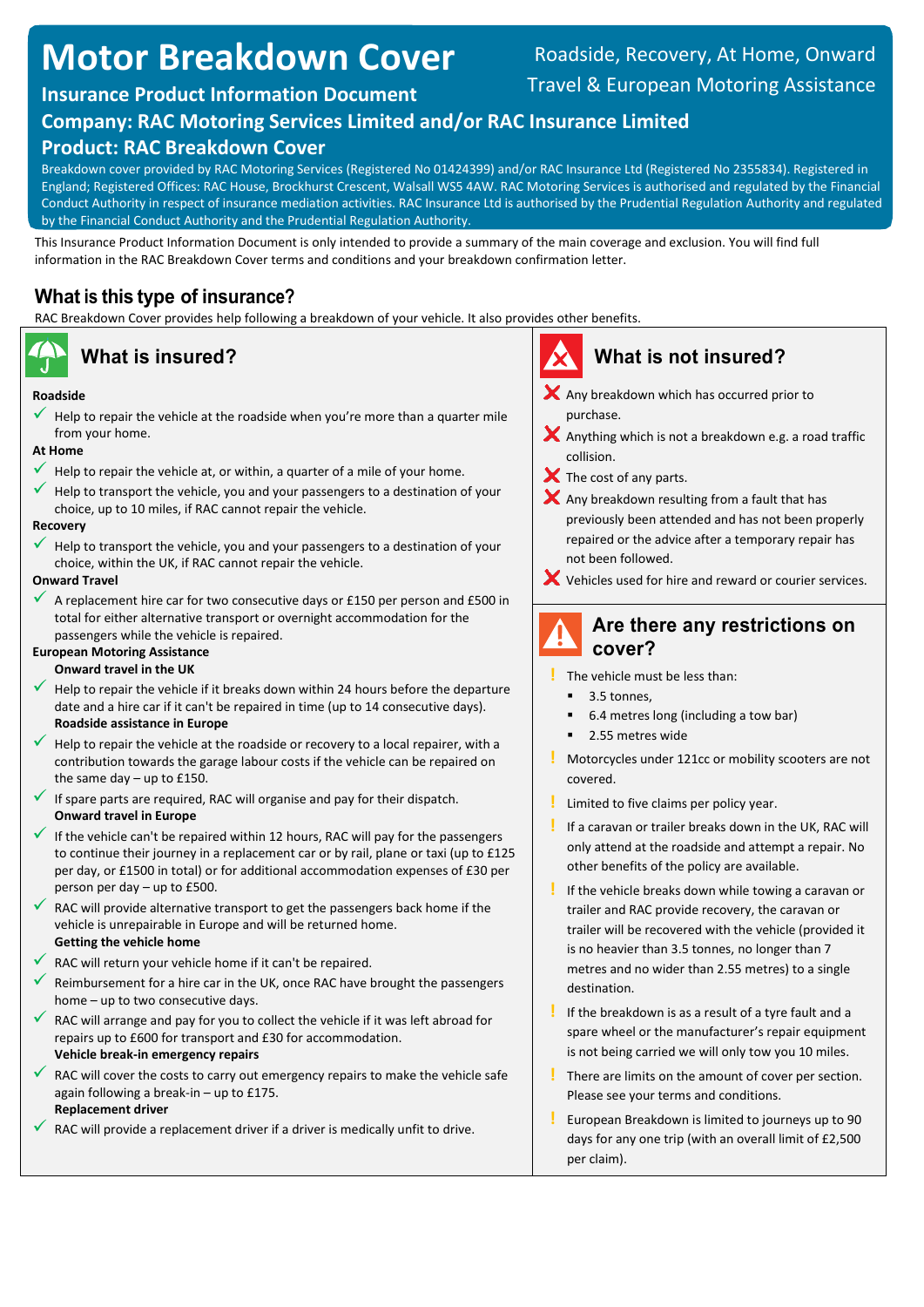# **Motor Breakdown Cover**

## Roadside, Recovery, At Home, Onward Travel & European Motoring Assistance

## **Insurance Product Information Document**

## **Company: RAC Motoring Services Limited and/or RAC Insurance Limited**

## **Product: RAC Breakdown Cover**

Breakdown cover provided by RAC Motoring Services (Registered No 01424399) and/or RAC Insurance Ltd (Registered No 2355834). Registered in England; Registered Offices: RAC House, Brockhurst Crescent, Walsall WS5 4AW. RAC Motoring Services is authorised and regulated by the Financial Conduct Authority in respect of insurance mediation activities. RAC Insurance Ltd is authorised by the Prudential Regulation Authority and regulated by the Financial Conduct Authority and the Prudential Regulation Authority.

This Insurance Product Information Document is only intended to provide a summary of the main coverage and exclusion. You will find full information in the RAC Breakdown Cover terms and conditions and your breakdown confirmation letter.

## **What is this type of insurance?**

RAC Breakdown Cover provides help following a breakdown of your vehicle. It also provides other benefits.

### **Roadside**

 Help to repair the vehicle at the roadside when you're more than a quarter mile from your home.

### **At Home**

- Help to repair the vehicle at, or within, a quarter of a mile of your home.
- Help to transport the vehicle, you and your passengers to a destination of your choice, up to 10 miles, if RAC cannot repair the vehicle.

#### **Recovery**

 Help to transport the vehicle, you and your passengers to a destination of your choice, within the UK, if RAC cannot repair the vehicle.

#### **Onward Travel**

 A replacement hire car for two consecutive days or £150 per person and £500 in total for either alternative transport or overnight accommodation for the passengers while the vehicle is repaired.

## **European Motoring Assistance**

- **Onward travel in the UK**
- Help to repair the vehicle if it breaks down within 24 hours before the departure date and a hire car if it can't be repaired in time (up to 14 consecutive days). **Roadside assistance in Europe**
- Help to repair the vehicle at the roadside or recovery to a local repairer, with a contribution towards the garage labour costs if the vehicle can be repaired on the same day – up to £150.
- If spare parts are required, RAC will organise and pay for their dispatch. **Onward travel in Europe**
- If the vehicle can't be repaired within 12 hours, RAC will pay for the passengers to continue their journey in a replacement car or by rail, plane or taxi (up to £125 per day, or £1500 in total) or for additional accommodation expenses of £30 per person per day – up to £500.
- RAC will provide alternative transport to get the passengers back home if the vehicle is unrepairable in Europe and will be returned home. **Getting the vehicle home**
- RAC will return your vehicle home if it can't be repaired.
- Reimbursement for a hire car in the UK, once RAC have brought the passengers home – up to two consecutive days.
- RAC will arrange and pay for you to collect the vehicle if it was left abroad for repairs up to £600 for transport and £30 for accommodation. **Vehicle break-in emergency repairs**
- RAC will cover the costs to carry out emergency repairs to make the vehicle safe again following a break-in – up to £175. **Replacement driver**
- RAC will provide a replacement driver if a driver is medically unfit to drive.

## **What is insured? What is not insured?**

- $\blacktriangleright$  Any breakdown which has occurred prior to purchase.
- $\blacktriangleright$  Anything which is not a breakdown e.g. a road traffic collision.
- $\blacktriangleright$  The cost of any parts.
- $\blacktriangleright$  Any breakdown resulting from a fault that has previously been attended and has not been properly repaired or the advice after a temporary repair has not been followed.
- Vehicles used for hire and reward or courier services.

## **Are there any restrictions on cover?**

- **!** The vehicle must be less than:
	- 3.5 tonnes,
	- 6.4 metres long (including a tow bar)
	- 2.55 metres wide
- **!** Motorcycles under 121cc or mobility scooters are not covered.
- **!** Limited to five claims per policy year.
- **!** If a caravan or trailer breaks down in the UK, RAC will only attend at the roadside and attempt a repair. No other benefits of the policy are available.
- **!** If the vehicle breaks down while towing a caravan or trailer and RAC provide recovery, the caravan or trailer will be recovered with the vehicle (provided it is no heavier than 3.5 tonnes, no longer than 7 metres and no wider than 2.55 metres) to a single destination.
- **!** If the breakdown is as a result of a tyre fault and a spare wheel or the manufacturer's repair equipment is not being carried we will only tow you 10 miles.
- **!** There are limits on the amount of cover per section. Please see your terms and conditions.
- **!** European Breakdown is limited to journeys up to 90 days for any one trip (with an overall limit of £2,500 per claim).